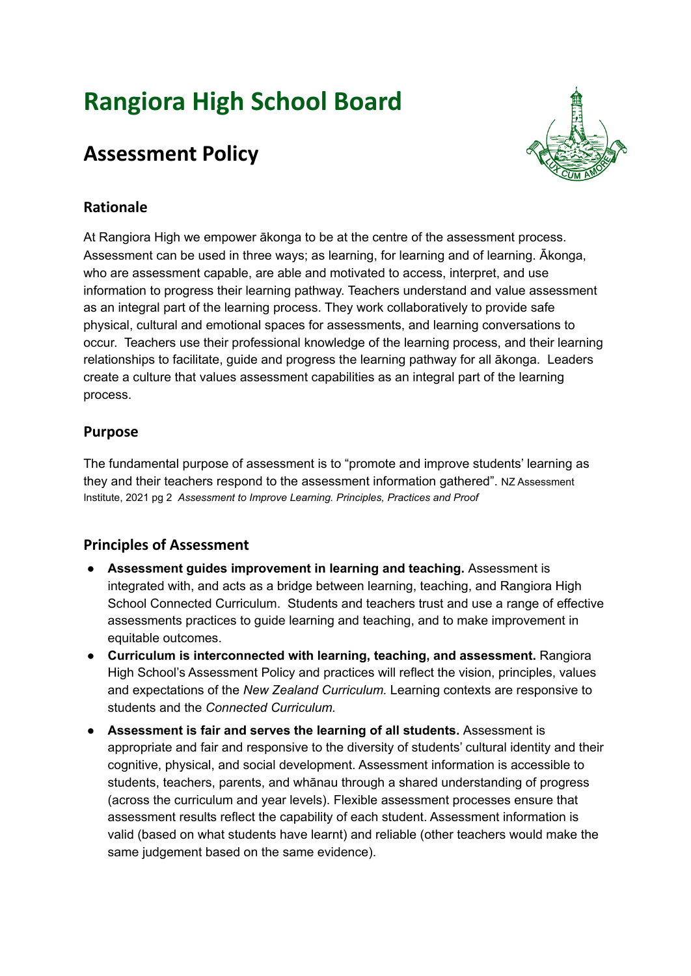# **Rangiora High School Board**

# **Assessment Policy**



## **Rationale**

At Rangiora High we empower ākonga to be at the centre of the assessment process. Assessment can be used in three ways; as learning, for learning and of learning. Ākonga, who are assessment capable, are able and motivated to access, interpret, and use information to progress their learning pathway. Teachers understand and value assessment as an integral part of the learning process. They work collaboratively to provide safe physical, cultural and emotional spaces for assessments, and learning conversations to occur. Teachers use their professional knowledge of the learning process, and their learning relationships to facilitate, guide and progress the learning pathway for all ākonga. Leaders create a culture that values assessment capabilities as an integral part of the learning process.

#### **Purpose**

The fundamental purpose of assessment is to "promote and improve students' learning as they and their teachers respond to the assessment information gathered". NZ Assessment Institute, 2021 pg 2 *Assessment to Improve Learning. Principles, Practices and Proof*

## **Principles of Assessment**

- **Assessment guides improvement in learning and teaching.** Assessment is integrated with, and acts as a bridge between learning, teaching, and Rangiora High School Connected Curriculum. Students and teachers trust and use a range of effective assessments practices to guide learning and teaching, and to make improvement in equitable outcomes.
- **Curriculum is interconnected with learning, teaching, and assessment.** Rangiora High School's Assessment Policy and practices will reflect the vision, principles, values and expectations of the *New Zealand Curriculum.* Learning contexts are responsive to students and the *Connected Curriculum.*
- *●* **Assessment is fair and serves the learning of all students.** Assessment is appropriate and fair and responsive to the diversity of students' cultural identity and their cognitive, physical, and social development. Assessment information is accessible to students, teachers, parents, and whānau through a shared understanding of progress (across the curriculum and year levels). Flexible assessment processes ensure that assessment results reflect the capability of each student. Assessment information is valid (based on what students have learnt) and reliable (other teachers would make the same judgement based on the same evidence).